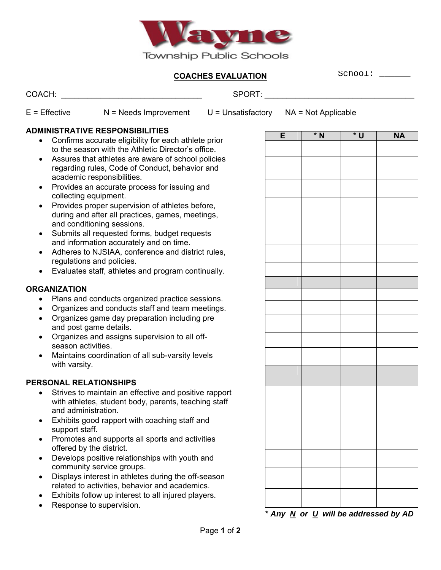

### **COACHES EVALUATION**

School: \_\_\_\_\_\_

COACH: \_\_\_\_\_\_\_\_\_\_\_\_\_\_\_\_\_\_\_\_\_\_\_\_\_\_\_\_\_\_\_\_ SPORT: \_\_\_\_\_\_\_\_\_\_\_\_\_\_\_\_\_\_\_\_\_\_\_\_\_\_\_\_\_\_\_\_\_\_

 $E =$  Effective  $N =$  Needs Improvement U = Unsatisfactory  $NA =$  Not Applicable

# **ADMINISTRATIVE RESPONSIBILITIES**

- Confirms accurate eligibility for each athlete prior to the season with the Athletic Director's office.
- Assures that athletes are aware of school policies regarding rules, Code of Conduct, behavior and academic responsibilities.
- Provides an accurate process for issuing and collecting equipment.
- Provides proper supervision of athletes before, during and after all practices, games, meetings, and conditioning sessions.
- Submits all requested forms, budget requests and information accurately and on time.
- Adheres to NJSIAA, conference and district rules, regulations and policies.
- Evaluates staff, athletes and program continually.

## **ORGANIZATION**

- Plans and conducts organized practice sessions.
- Organizes and conducts staff and team meetings.
- Organizes game day preparation including pre and post game details.
- Organizes and assigns supervision to all offseason activities.
- Maintains coordination of all sub-varsity levels with varsity.

### **PERSONAL RELATIONSHIPS**

- Strives to maintain an effective and positive rapport with athletes, student body, parents, teaching staff and administration.
- Exhibits good rapport with coaching staff and support staff.
- Promotes and supports all sports and activities offered by the district.
- Develops positive relationships with youth and community service groups.
- Displays interest in athletes during the off-season related to activities, behavior and academics.
- Exhibits follow up interest to all injured players.
- Response to supervision.

| E | <u>* N</u> | * U | <u>NA</u> |
|---|------------|-----|-----------|
|   |            |     |           |
|   |            |     |           |
|   |            |     |           |
|   |            |     |           |
|   |            |     |           |
|   |            |     |           |
|   |            |     |           |
|   |            |     |           |
|   |            |     |           |
|   |            |     |           |
|   |            |     |           |
|   |            |     |           |
|   |            |     |           |
|   |            |     |           |
|   |            |     |           |
|   |            |     |           |
|   |            |     |           |
|   |            |     |           |
|   |            |     |           |
|   |            |     |           |

**\*** *Any N or U will be addressed by AD*